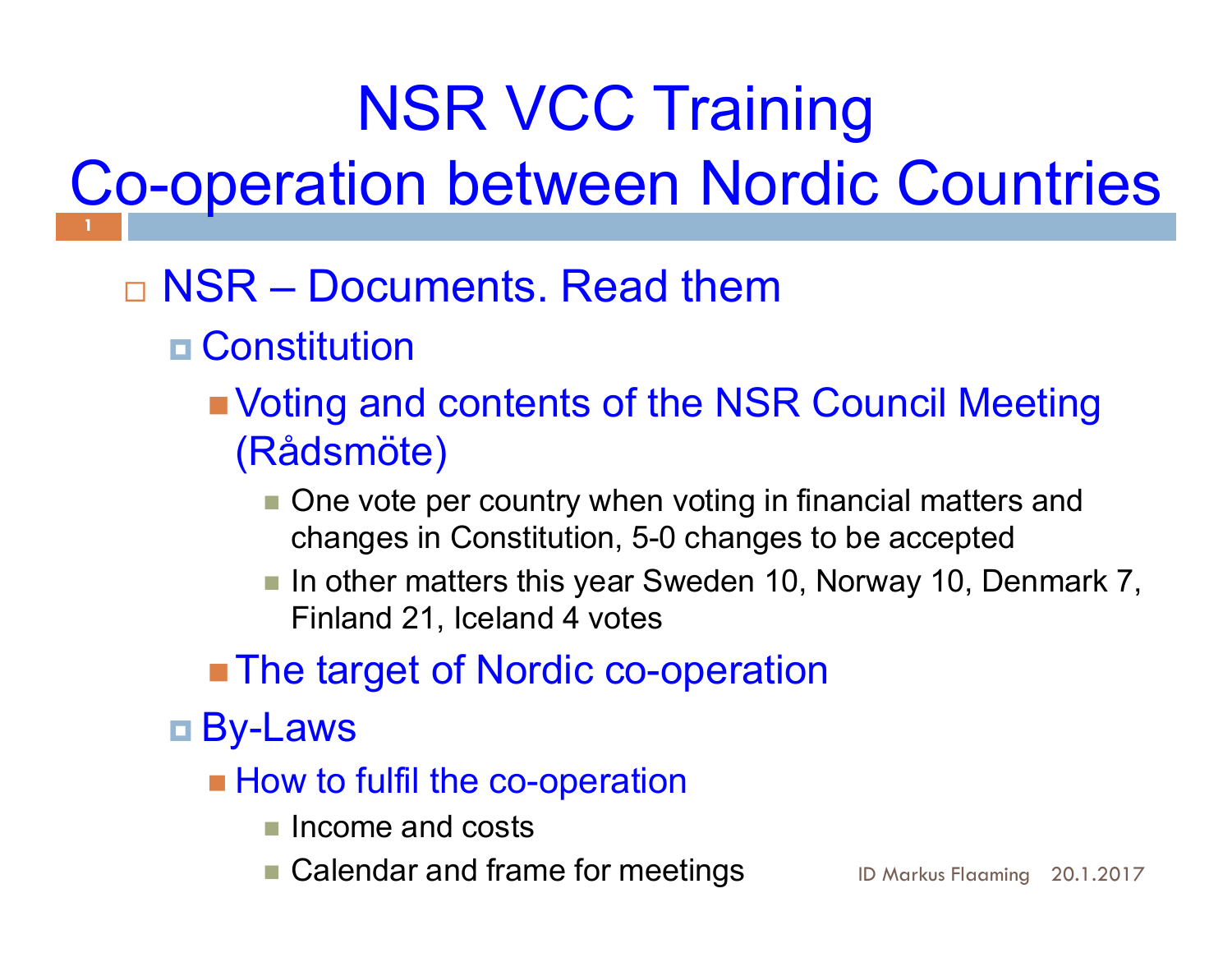# NSR VCC Training

#### Co-operation between Nordic Countries 1 | 1 | 1 | 1 | 1 |

### NSR – Documents. Read them

### Constitution

- Voting and contents of the NSR Council Meeting (Rådsmöte)
	- One vote per country when voting in financial matters and changes in Constitution, 5-0 changes to be accepted
	- In other matters this year Sweden 10, Norway 10, Denmark 7, Finland 21, Iceland 4 votes
- **The target of Nordic co-operation**
- By-Laws
	- **How to fulfil the co-operation** 
		- **Income and costs**
		- Calendar and frame for meetings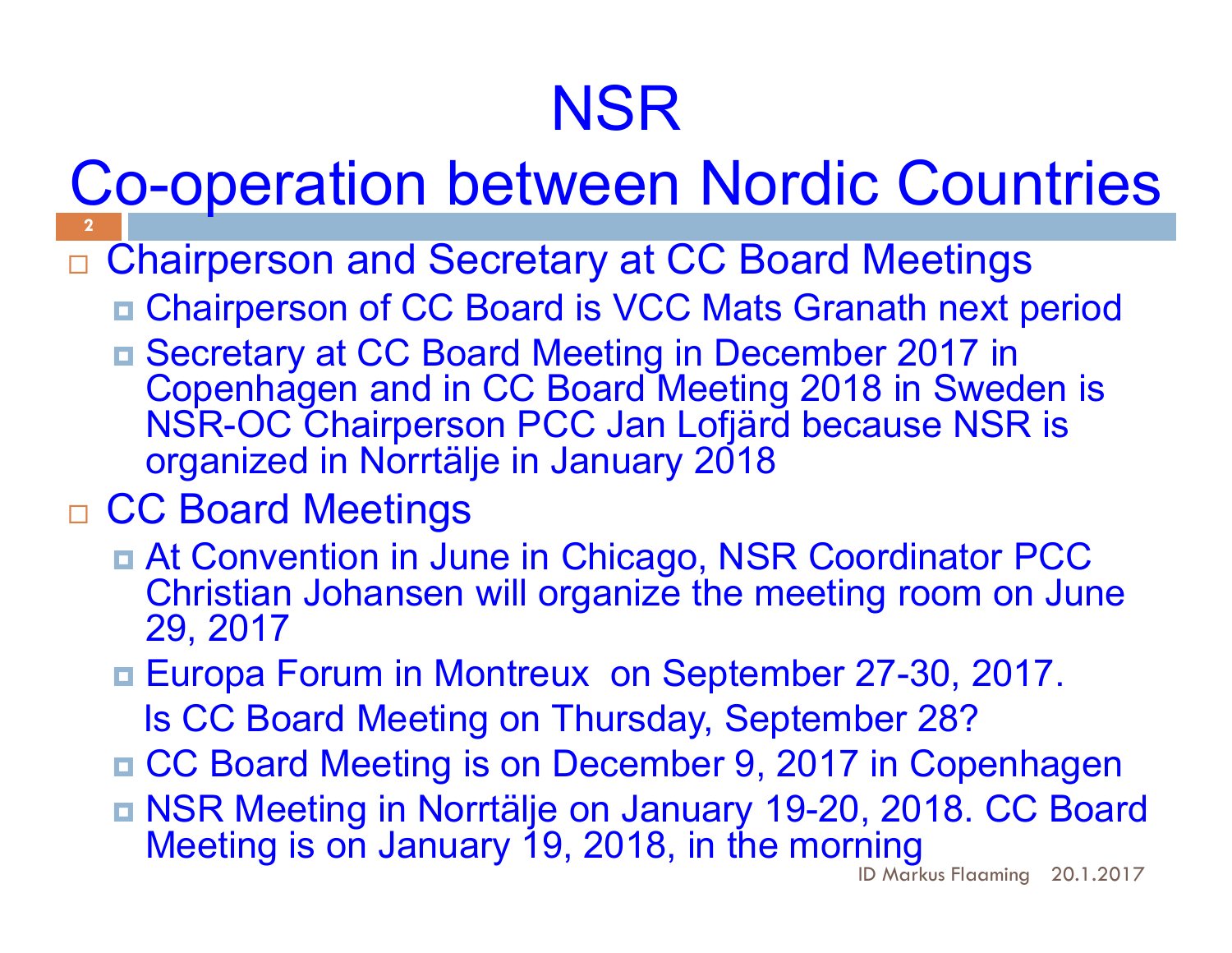#### Co-operation between Nordic Countries  $2 \left| \begin{array}{ccc} 2 & 2 \end{array} \right|$

- □ Chairperson and Secretary at CC Board Meetings
	- Chairperson of CC Board is VCC Mats Granath next period
	- Secretary at CC Board Meeting in December 2017 in Copenhagen and in CC Board Meeting 2018 in Sweden is NSR-OC Chairperson PCC Jan Lofjärd because NSR is organized in Norrtälje in January 2018
- □ CC Board Meetings
	- At Convention in June in Chicago, NSR Coordinator PCC Christian Johansen will organize the meeting room on June 29, 2017
	- Europa Forum in Montreux on September 27-30, 2017. Is CC Board Meeting on Thursday, September 28?
	- CC Board Meeting is on December 9, 2017 in Copenhagen
	- NSR Meeting in Norrtälje on January 19-20, 2018. CC Board Meeting is on January 19, 2018, in the morning 20.1.2017 ID Markus Flaaming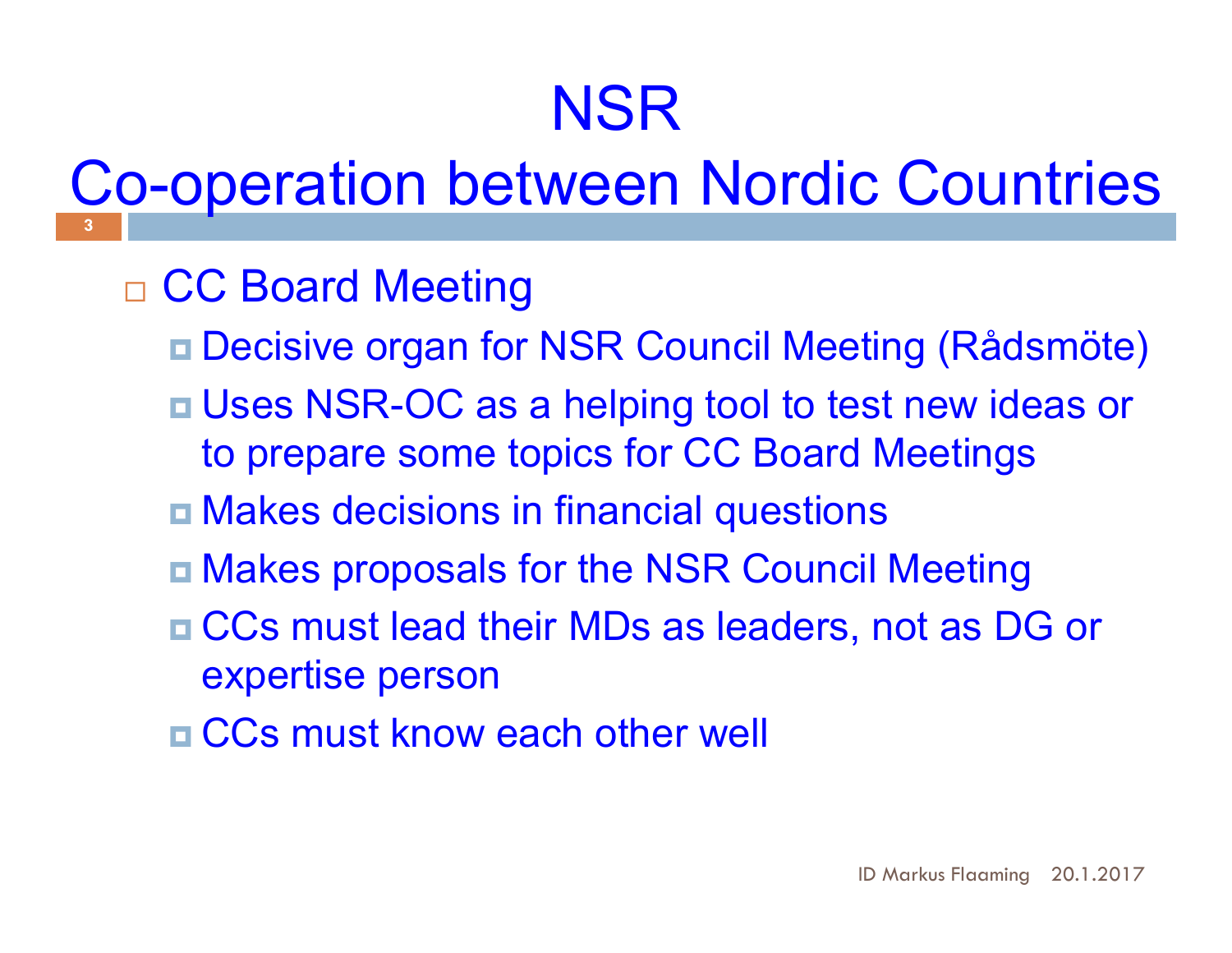#### Co-operation between Nordic Countries 3 and 200

### □ CC Board Meeting

- Decisive organ for NSR Council Meeting (Rådsmöte)
- Uses NSR-OC as a helping tool to test new ideas or to prepare some topics for CC Board Meetings
- Makes decisions in financial questions
- Makes proposals for the NSR Council Meeting
- CCs must lead their MDs as leaders, not as DG or expertise person
- CCs must know each other well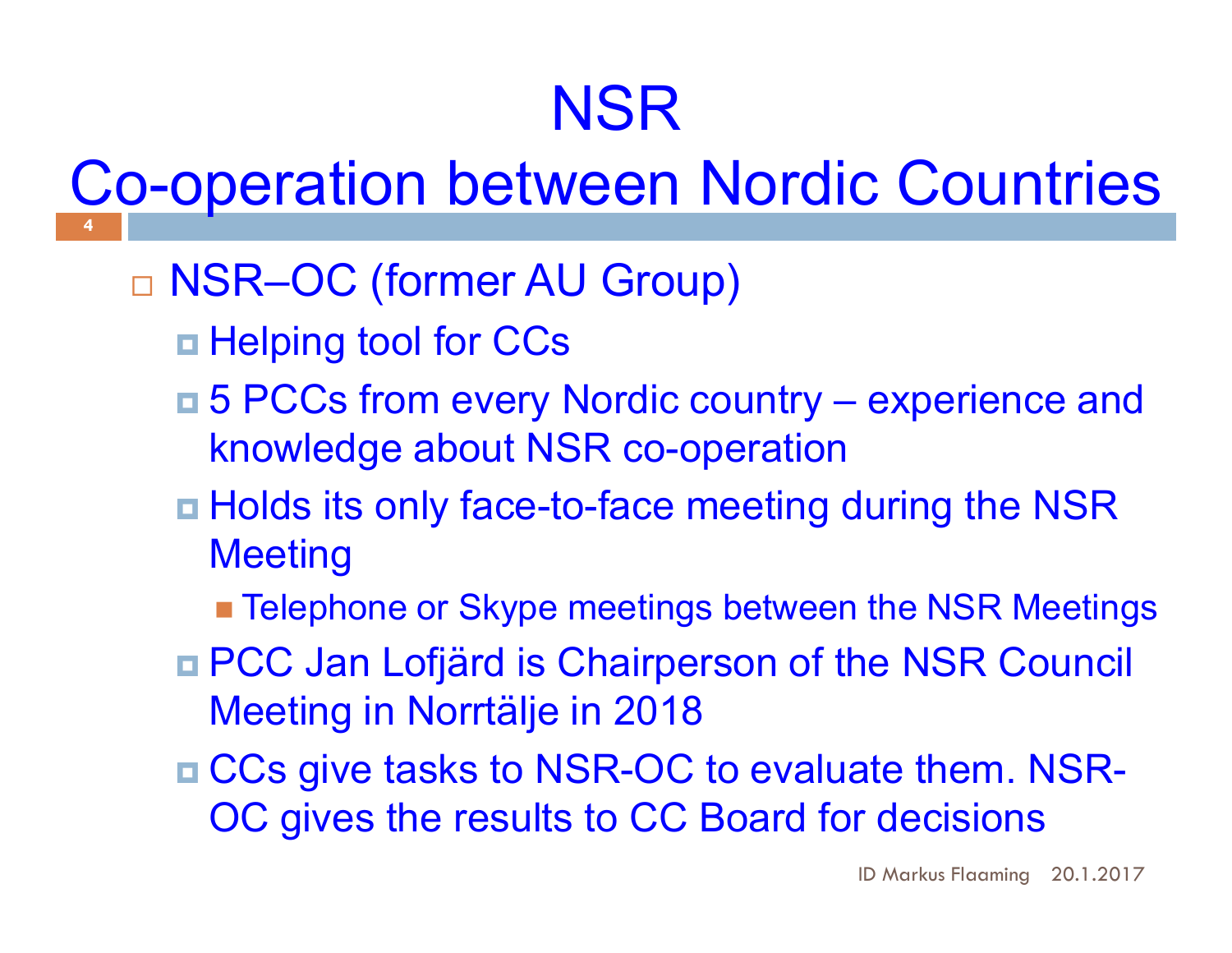#### Co-operation between Nordic Countries 4

### NSR–OC (former AU Group)

- Helping tool for CCs
- 5 PCCs from every Nordic country experience and knowledge about NSR co-operation
- Holds its only face-to-face meeting during the NSR **Meeting** 
	- **Telephone or Skype meetings between the NSR Meetings**
- PCC Jan Lofjärd is Chairperson of the NSR Council Meeting in Norrtälje in 2018
- **□ CCs give tasks to NSR-OC to evaluate them. NSR-**OC gives the results to CC Board for decisions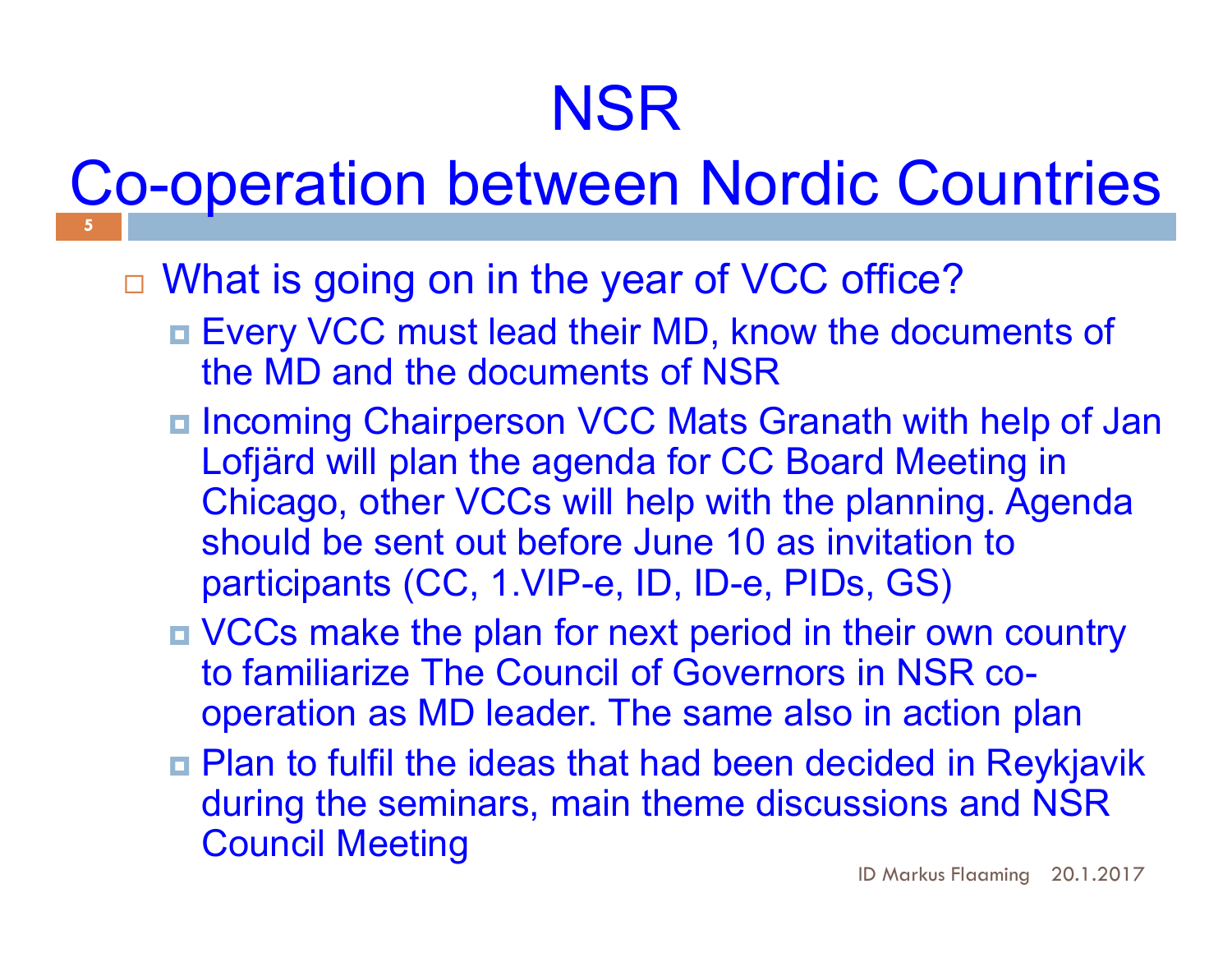#### Co-operation between Nordic Countries 5 | 100 | 100 | 100 | 100 | 100 | 100 | 100 | 100 | 100 | 100 | 100 | 100 | 100 | 100 | 100 | 100 | 100 | 100

- □ What is going on in the year of VCC office?
	- Every VCC must lead their MD, know the documents of the MD and the documents of NSR
	- Incoming Chairperson VCC Mats Granath with help of Jan Lofjärd will plan the agenda for CC Board Meeting in Chicago, other VCCs will help with the planning. Agenda should be sent out before June 10 as invitation to participants (CC, 1.VIP-e, ID, ID-e, PIDs, GS)
	- VCCs make the plan for next period in their own country to familiarize The Council of Governors in NSR cooperation as MD leader. The same also in action plan
	- Plan to fulfil the ideas that had been decided in Reykjavik during the seminars, main theme discussions and NSR Council Meeting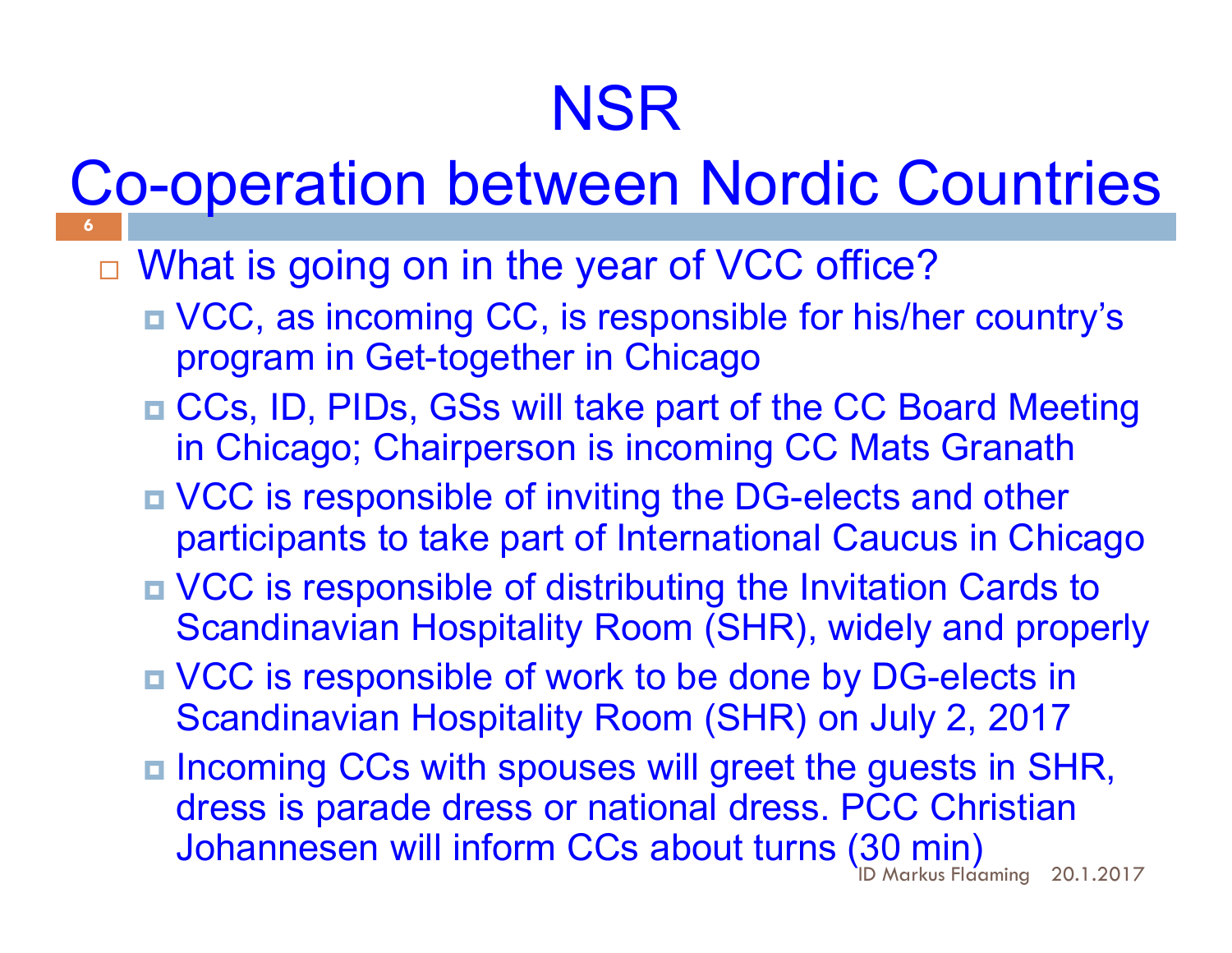#### Co-operation between Nordic Countries 6

- □ What is going on in the year of VCC office?
	- VCC, as incoming CC, is responsible for his/her country's program in Get-together in Chicago
	- CCs, ID, PIDs, GSs will take part of the CC Board Meeting in Chicago; Chairperson is incoming CC Mats Granath
	- VCC is responsible of inviting the DG-elects and other participants to take part of International Caucus in Chicago
	- VCC is responsible of distributing the Invitation Cards to Scandinavian Hospitality Room (SHR), widely and properly
	- VCC is responsible of work to be done by DG-elects in Scandinavian Hospitality Room (SHR) on July 2, 2017
	- Incoming CCs with spouses will greet the guests in SHR, dress is parade dress or national dress. PCC Christian Johannesen will inform CCs about turns (30 min) ID Markus Flaaming 20.1.2017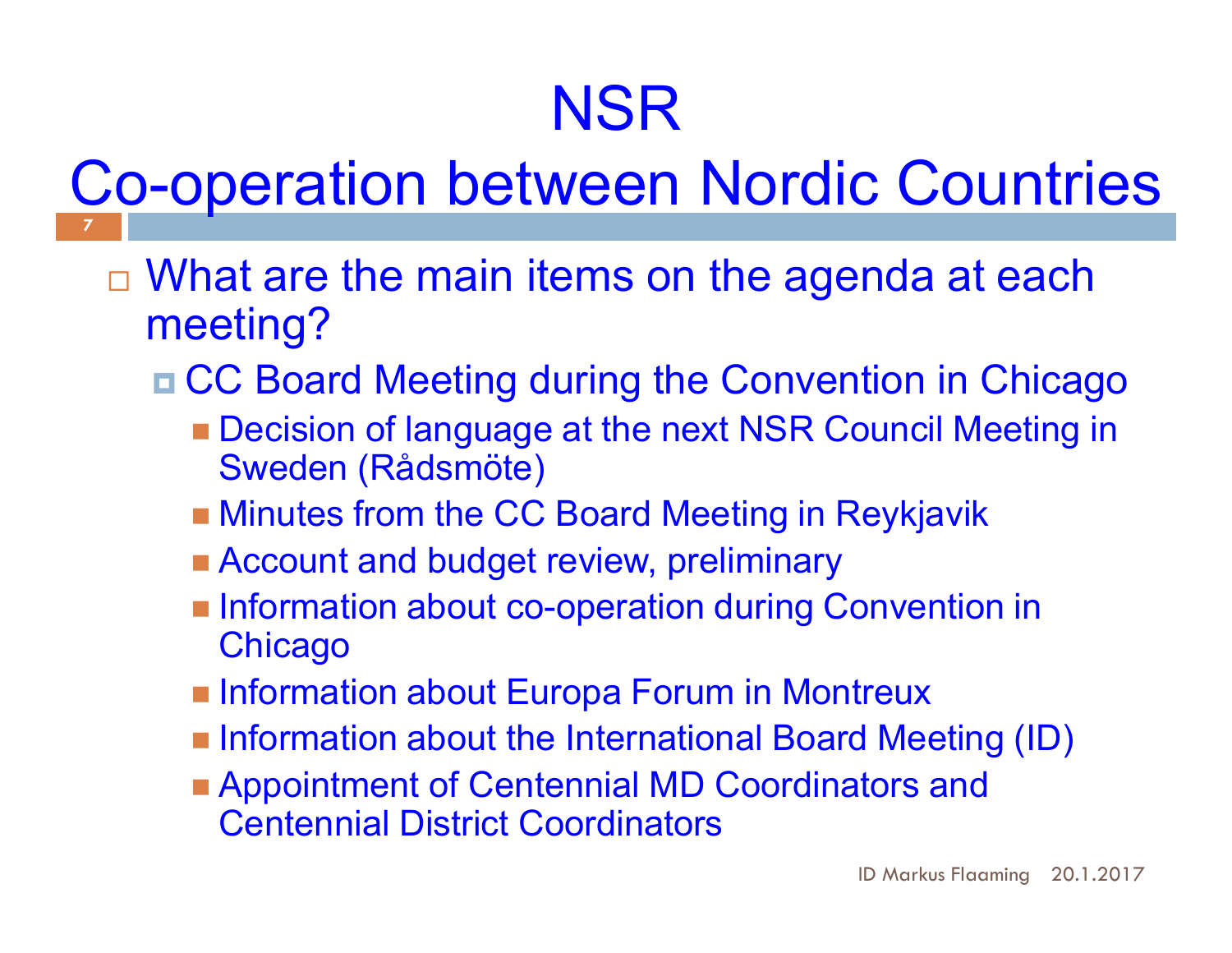#### Co-operation between Nordic Countries 7 | 1990 | 1990 | 1990 | 1990 | 1990 | 1990 | 1990 | 1990 | 1990 | 1990 | 1990 | 1990 | 1990 | 1990

- □ What are the main items on the agenda at each meeting?
	- CC Board Meeting during the Convention in Chicago
		- **Decision of language at the next NSR Council Meeting in** Sweden (Rådsmöte)
		- **Ninutes from the CC Board Meeting in Reykjavik**
		- **Account and budget review, preliminary**
		- **Information about co-operation during Convention in Chicago**
		- **Information about Europa Forum in Montreux**
		- **Information about the International Board Meeting (ID)**
		- **Appointment of Centennial MD Coordinators and** Centennial District Coordinators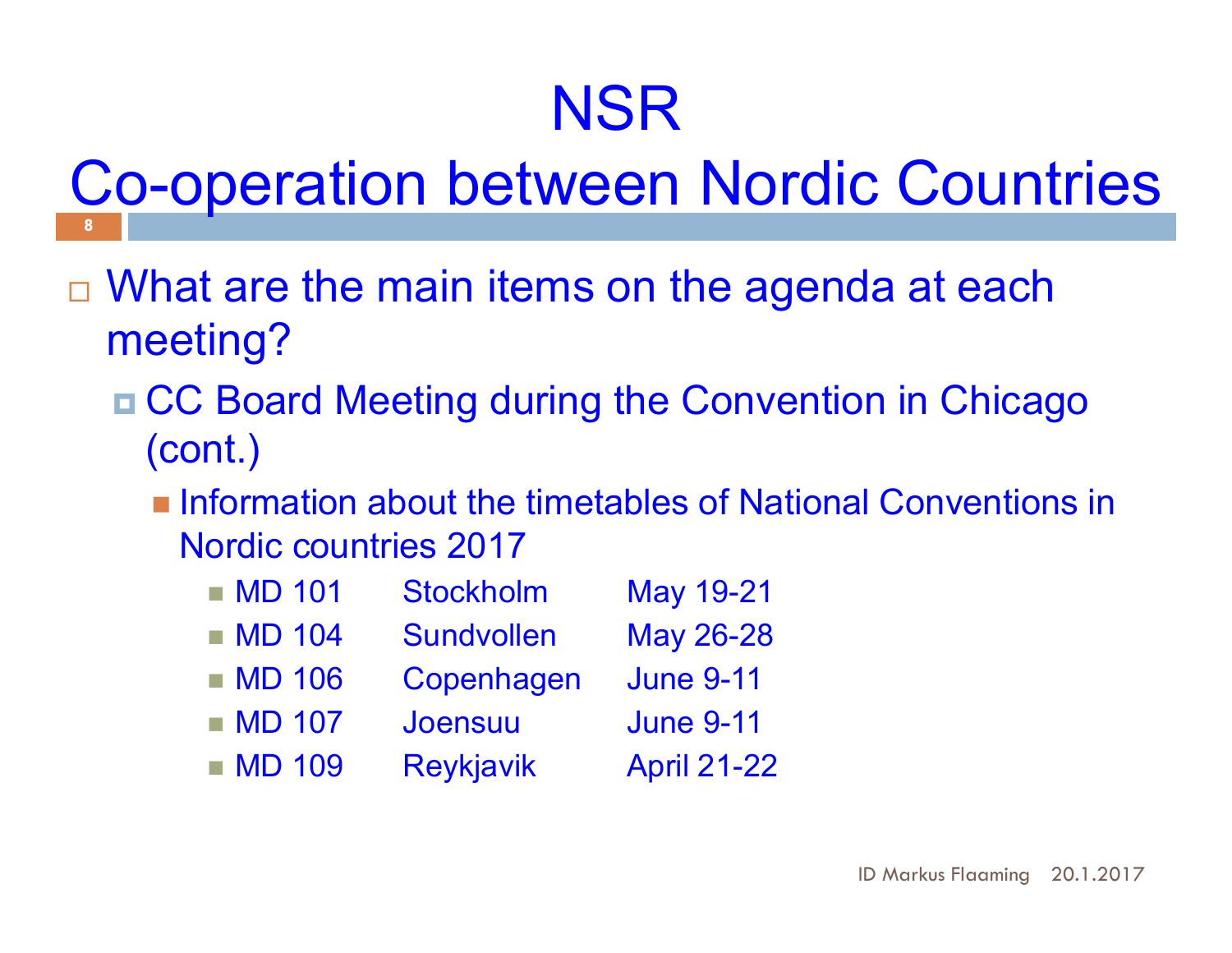#### Co-operation between Nordic Countries 8 | 1990 | 1990 | 1990 | 1990 | 1990 | 1990 | 1990 | 1990 | 1990 | 1990 | 1990 | 1990 | 1990 | 1990

- □ What are the main items on the agenda at each meeting?
	- CC Board Meeting during the Convention in Chicago (cont.)
		- **Information about the timetables of National Conventions in** Nordic countries 2017

| $\blacksquare$ MD 101 | <b>Stockholm</b>  | May 19-21          |
|-----------------------|-------------------|--------------------|
| $\blacksquare$ MD 104 | <b>Sundvollen</b> | May 26-28          |
| <b>MD 106</b>         | Copenhagen        | <b>June 9-11</b>   |
| $\blacksquare$ MD 107 | Joensuu           | <b>June 9-11</b>   |
| $\blacksquare$ MD 109 | <b>Reykjavik</b>  | <b>April 21-22</b> |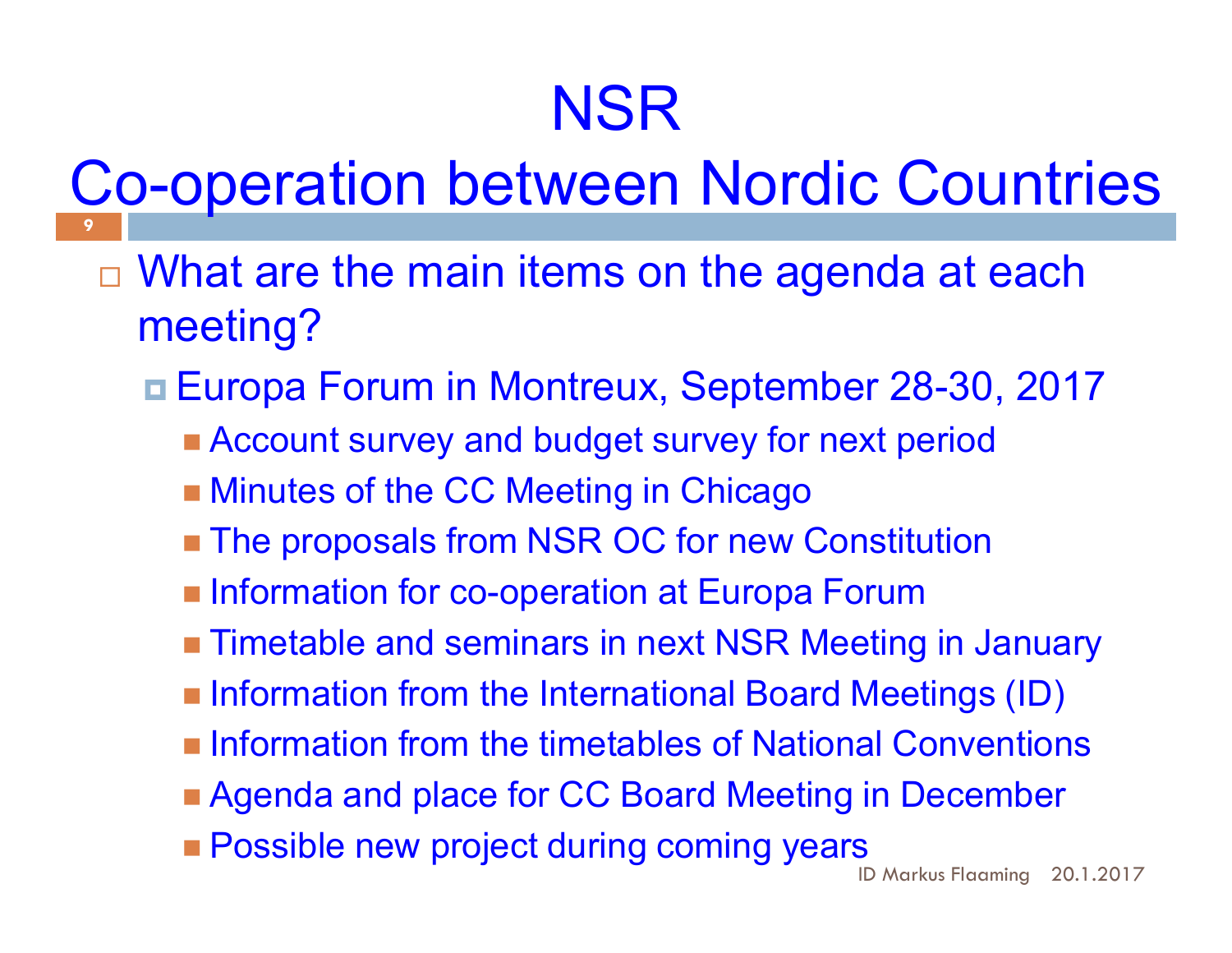#### Co-operation between Nordic Countries 9 | Personal Property of the **1980**

- □ What are the main items on the agenda at each meeting?
	- Europa Forum in Montreux, September 28-30, 2017
		- **Account survey and budget survey for next period**
		- **Ninutes of the CC Meeting in Chicago**
		- The proposals from NSR OC for new Constitution
		- **Information for co-operation at Europa Forum**
		- **Timetable and seminars in next NSR Meeting in January**
		- **Information from the International Board Meetings (ID)**
		- **Information from the timetables of National Conventions**
		- Agenda and place for CC Board Meeting in December
		- **Possible new project during coming years**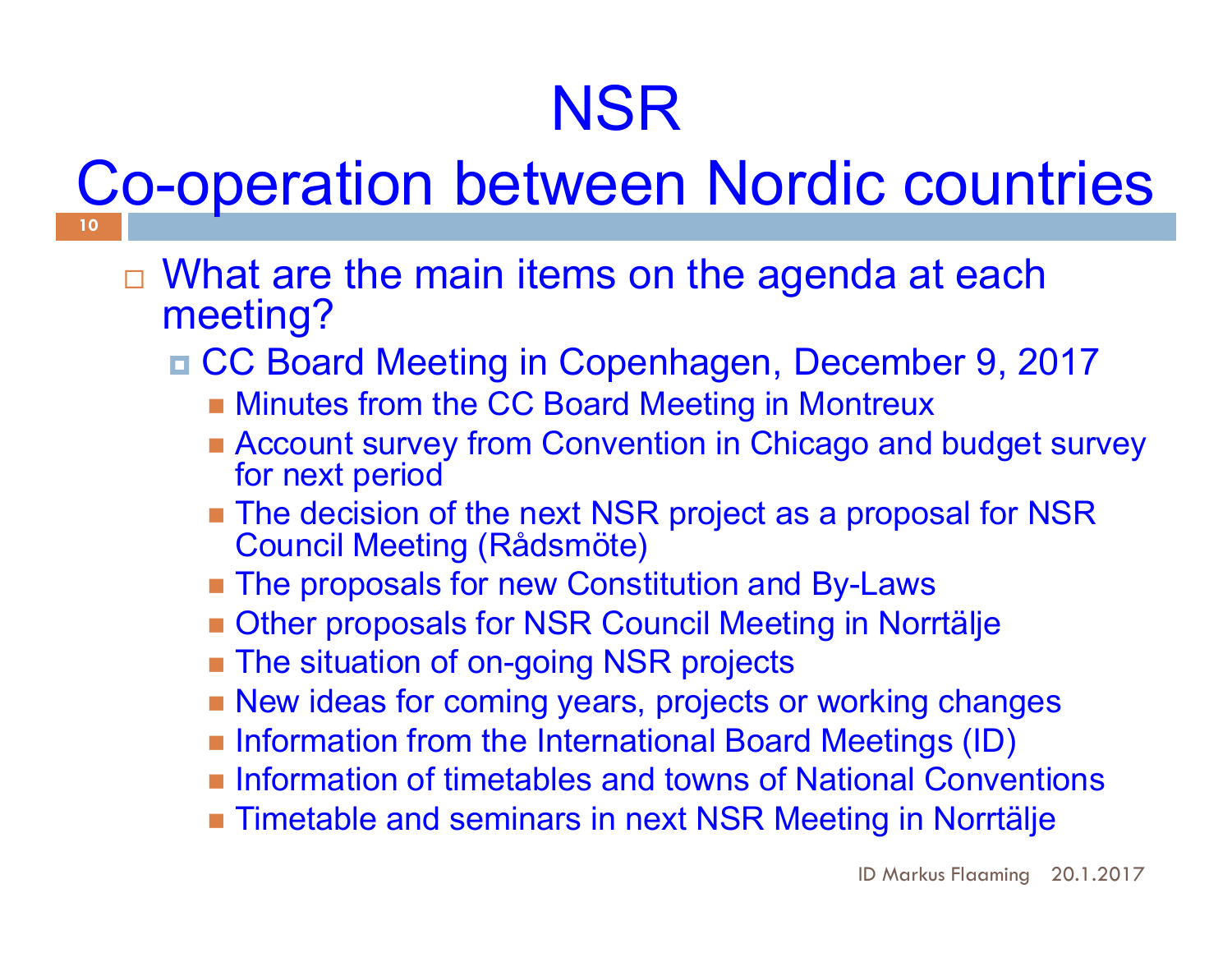#### Co-operation between Nordic countries 10 and 10 and 10 and 10 and 10 and 10 and 10 and 10 and 10 and 10 and 10 and 10 and 10 and 10 and 10 and 10 an

- □ What are the main items on the agenda at each meeting?
	- CC Board Meeting in Copenhagen, December 9, 2017
		- **Ninutes from the CC Board Meeting in Montreux**
		- **Example 2 Report Survey from Convention in Chicago and budget survey** for next period
		- The decision of the next NSR project as a proposal for NSR<br>Council Meeting (Rådsmöte)
		- **The proposals for new Constitution and By-Laws**
		- **Dick The External Other proposals for NSR Council Meeting in Norrtälje**
		- **The situation of on-going NSR projects**
		- New ideas for coming years, projects or working changes
		- **Information from the International Board Meetings (ID)**
		- **Information of timetables and towns of National Conventions**
		- Timetable and seminars in next NSR Meeting in Norrtälje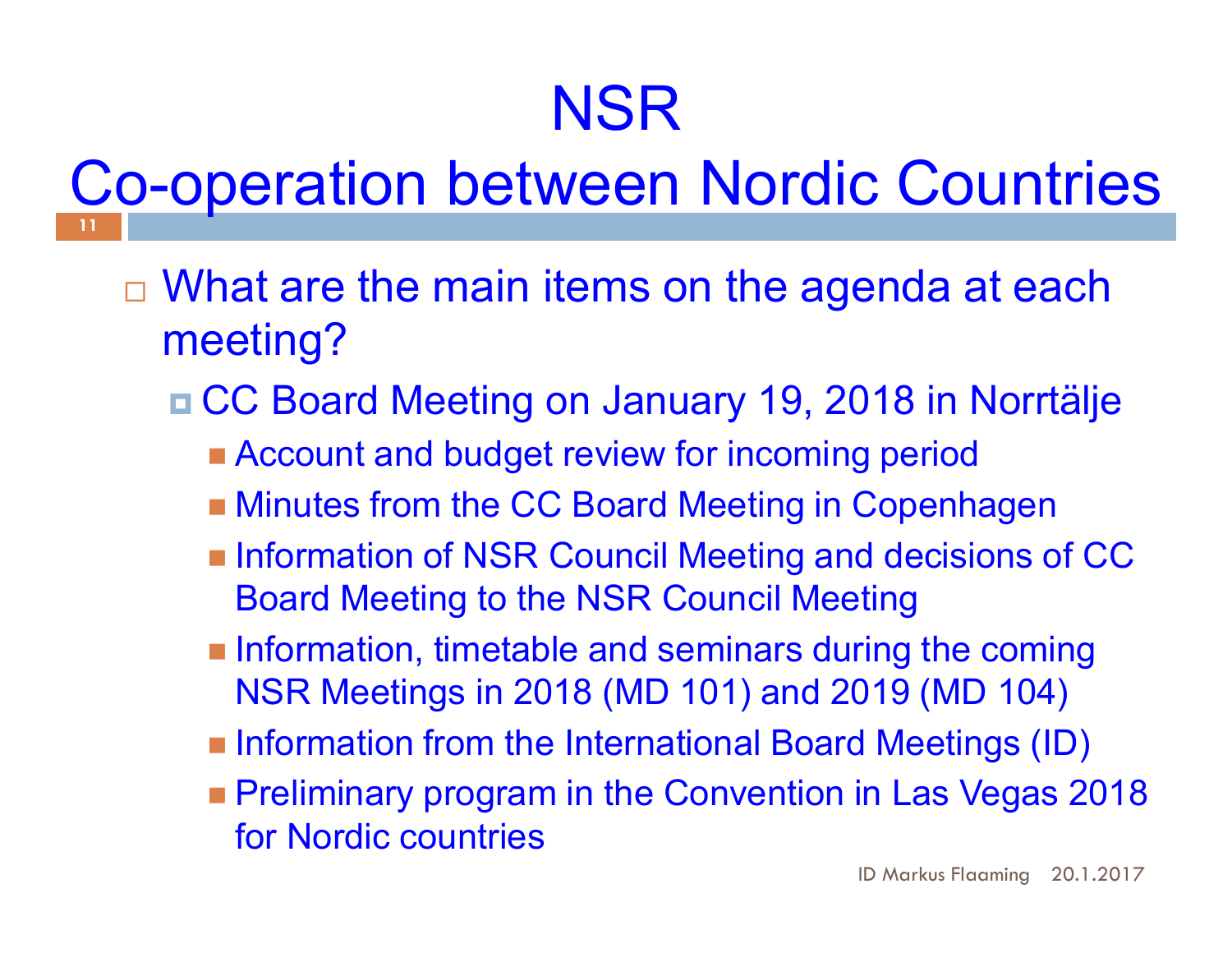#### Co-operation between Nordic Countries 11

- □ What are the main items on the agenda at each meeting?
	- CC Board Meeting on January 19, 2018 in Norrtälje
		- **Example 2 Account and budget review for incoming period**
		- **Ninutes from the CC Board Meeting in Copenhagen**
		- **Information of NSR Council Meeting and decisions of CC** Board Meeting to the NSR Council Meeting
		- **Information, timetable and seminars during the coming** NSR Meetings in 2018 (MD 101) and 2019 (MD 104)
		- **Information from the International Board Meetings (ID)**
		- **Preliminary program in the Convention in Las Vegas 2018** for Nordic countries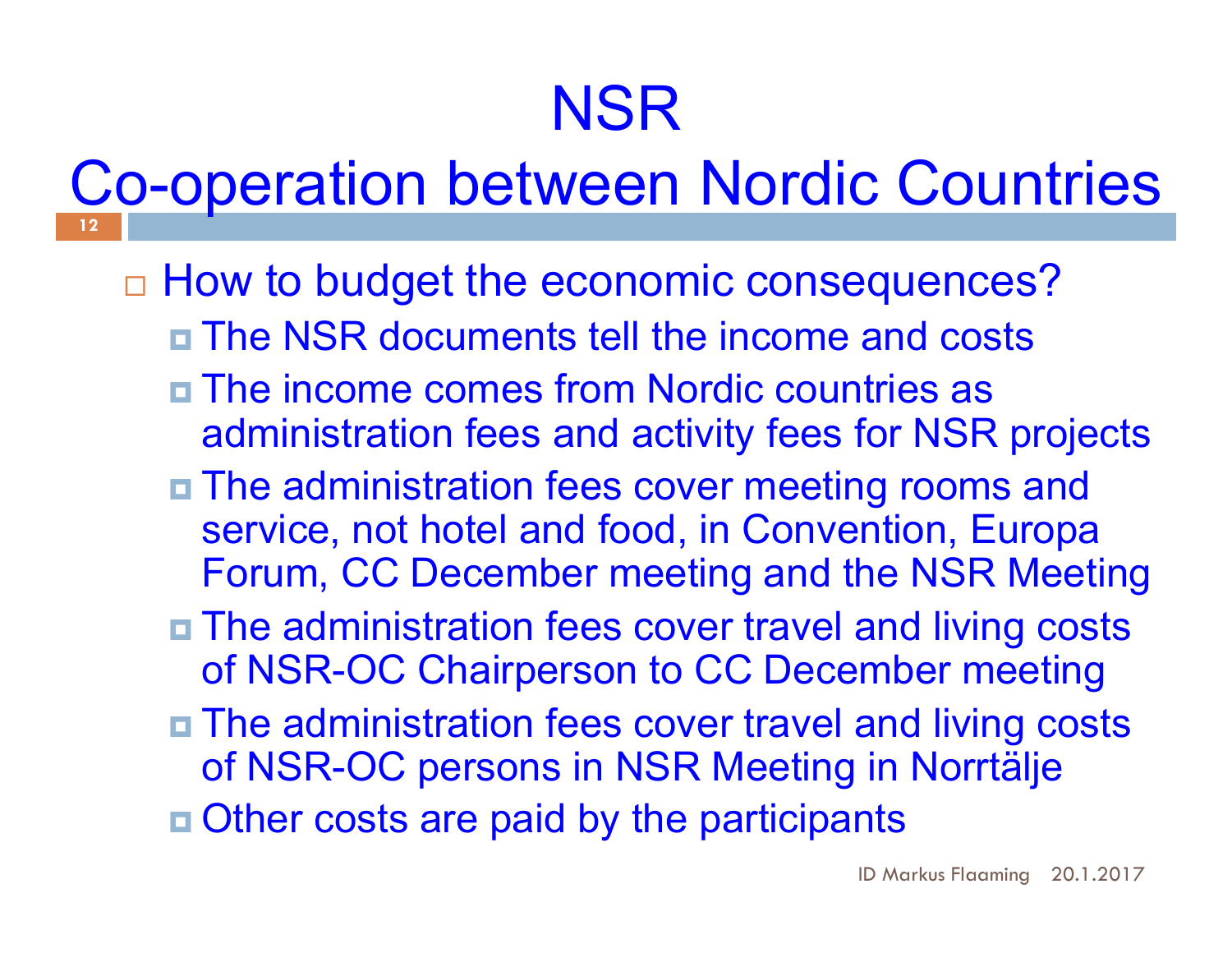#### Co-operation between Nordic Countries 12 and the second state of  $\sim$

- $\Box$  How to budget the economic consequences?
	- The NSR documents tell the income and costs
	- The income comes from Nordic countries as administration fees and activity fees for NSR projects
	- The administration fees cover meeting rooms and service, not hotel and food, in Convention, Europa Forum, CC December meeting and the NSR Meeting
	- The administration fees cover travel and living costs of NSR-OC Chairperson to CC December meeting
	- The administration fees cover travel and living costs of NSR-OC persons in NSR Meeting in Norrtälje
	- Other costs are paid by the participants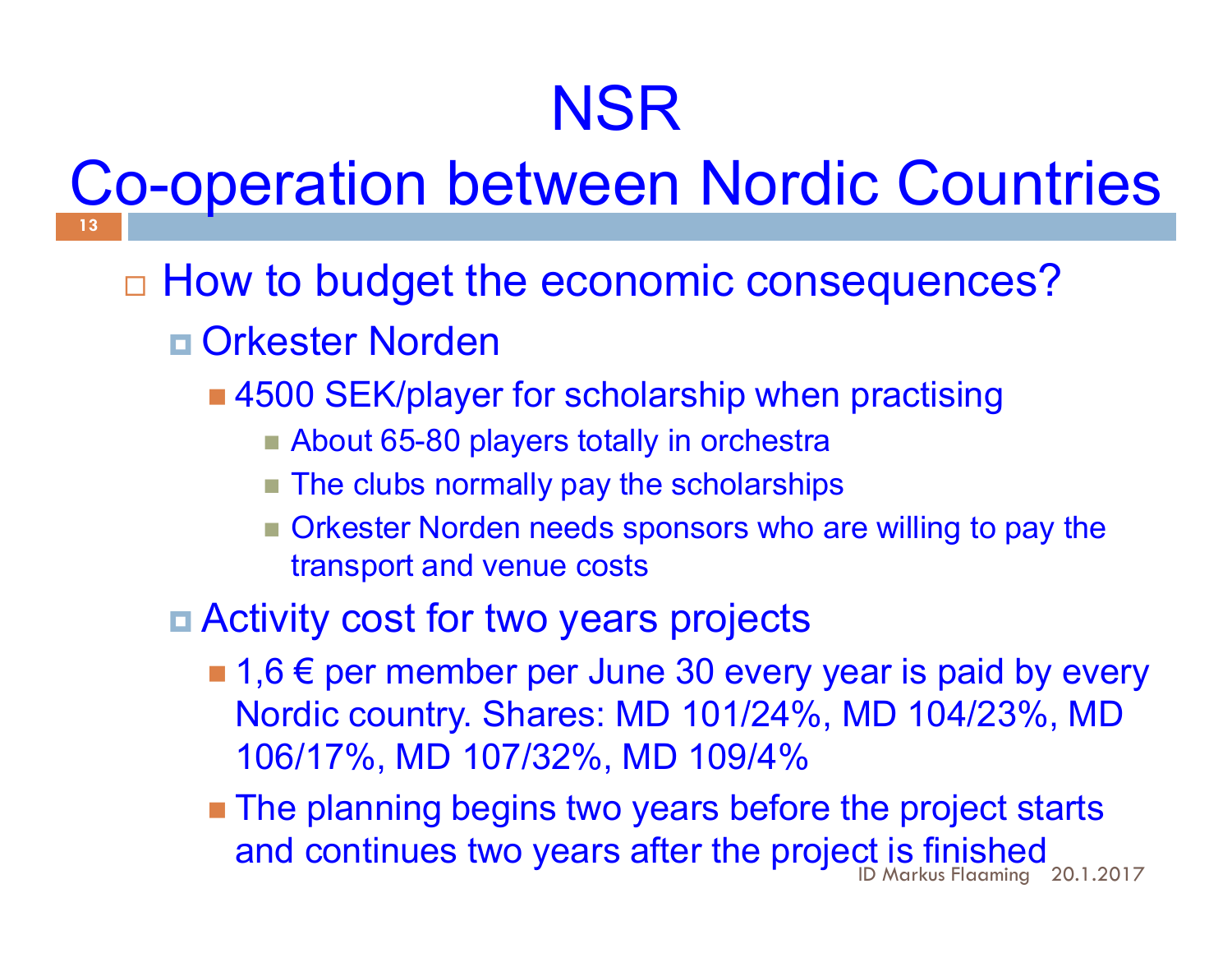#### Co-operation between Nordic Countries 13 | **13 | 14 | 14 | 14 | 14 | 14 | 14 | 14 |**

- □ How to budget the economic consequences?
	- Orkester Norden
		- 4500 SEK/player for scholarship when practising
			- **About 65-80 players totally in orchestra**
			- The clubs normally pay the scholarships
			- Orkester Norden needs sponsors who are willing to pay the transport and venue costs
	- Activity cost for two years projects
		- 1,6  $\epsilon$  per member per June 30 every year is paid by every Nordic country. Shares: MD 101/24%, MD 104/23%, MD 106/17%, MD 107/32%, MD 109/4%
		- **The planning begins two years before the project starts** and continues two years after the project is finished Markus Flaaming 20.1.2017